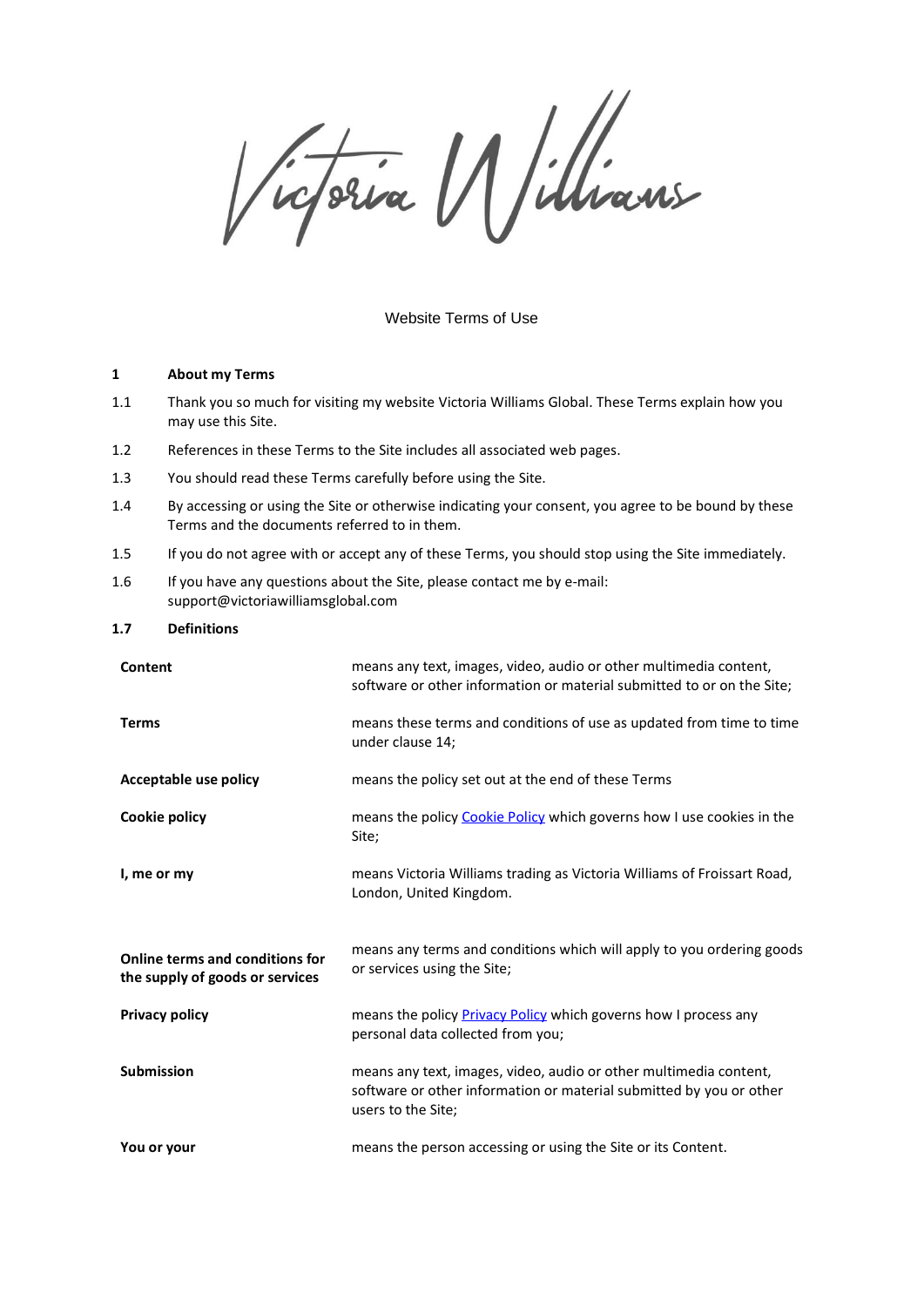Victoria Millians

### Website Terms of Use

#### **1 About my Terms**

- 1.1 Thank you so much for visiting my website Victoria Williams Global. These Terms explain how you may use this Site.
- 1.2 References in these Terms to the Site includes all associated web pages.
- 1.3 You should read these Terms carefully before using the Site.
- 1.4 By accessing or using the Site or otherwise indicating your consent, you agree to be bound by these Terms and the documents referred to in them.
- 1.5 If you do not agree with or accept any of these Terms, you should stop using the Site immediately.
- 1.6 If you have any questions about the Site, please contact me by e-mail: support@victoriawilliamsglobal.com

#### **1.7 Definitions**

| Content                                                            | means any text, images, video, audio or other multimedia content,<br>software or other information or material submitted to or on the Site;                    |
|--------------------------------------------------------------------|----------------------------------------------------------------------------------------------------------------------------------------------------------------|
| <b>Terms</b>                                                       | means these terms and conditions of use as updated from time to time<br>under clause 14;                                                                       |
| Acceptable use policy                                              | means the policy set out at the end of these Terms                                                                                                             |
| Cookie policy                                                      | means the policy Cookie Policy which governs how I use cookies in the<br>Site;                                                                                 |
| I, me or my                                                        | means Victoria Williams trading as Victoria Williams of Froissart Road,<br>London, United Kingdom.                                                             |
| Online terms and conditions for<br>the supply of goods or services | means any terms and conditions which will apply to you ordering goods<br>or services using the Site;                                                           |
| <b>Privacy policy</b>                                              | means the policy Privacy Policy which governs how I process any<br>personal data collected from you;                                                           |
|                                                                    |                                                                                                                                                                |
| <b>Submission</b>                                                  | means any text, images, video, audio or other multimedia content,<br>software or other information or material submitted by you or other<br>users to the Site; |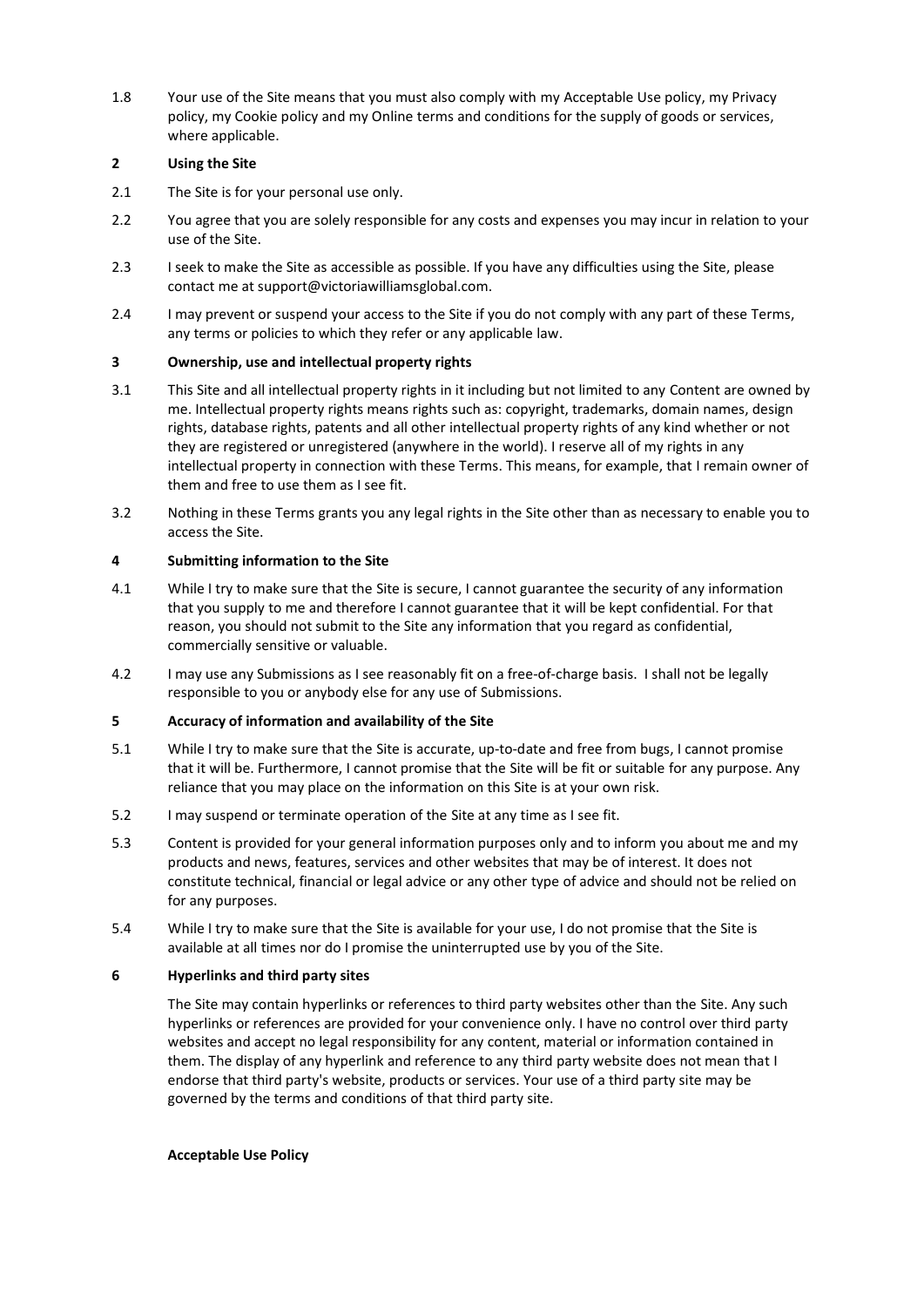1.8 Your use of the Site means that you must also comply with my Acceptable Use policy, my Privacy policy, my Cookie policy and my Online terms and conditions for the supply of goods or services, where applicable.

## **2 Using the Site**

- 2.1 The Site is for your personal use only.
- 2.2 You agree that you are solely responsible for any costs and expenses you may incur in relation to your use of the Site.
- 2.3 I seek to make the Site as accessible as possible. If you have any difficulties using the Site, please contact me at support@victoriawilliamsglobal.com.
- 2.4 I may prevent or suspend your access to the Site if you do not comply with any part of these Terms, any terms or policies to which they refer or any applicable law.

## **3 Ownership, use and intellectual property rights**

- 3.1 This Site and all intellectual property rights in it including but not limited to any Content are owned by me. Intellectual property rights means rights such as: copyright, trademarks, domain names, design rights, database rights, patents and all other intellectual property rights of any kind whether or not they are registered or unregistered (anywhere in the world). I reserve all of my rights in any intellectual property in connection with these Terms. This means, for example, that I remain owner of them and free to use them as I see fit.
- 3.2 Nothing in these Terms grants you any legal rights in the Site other than as necessary to enable you to access the Site.

## **4 Submitting information to the Site**

- 4.1 While I try to make sure that the Site is secure, I cannot guarantee the security of any information that you supply to me and therefore I cannot guarantee that it will be kept confidential. For that reason, you should not submit to the Site any information that you regard as confidential, commercially sensitive or valuable.
- 4.2 I may use any Submissions as I see reasonably fit on a free-of-charge basis. I shall not be legally responsible to you or anybody else for any use of Submissions.

# **5 Accuracy of information and availability of the Site**

- 5.1 While I try to make sure that the Site is accurate, up-to-date and free from bugs, I cannot promise that it will be. Furthermore, I cannot promise that the Site will be fit or suitable for any purpose. Any reliance that you may place on the information on this Site is at your own risk.
- 5.2 I may suspend or terminate operation of the Site at any time as I see fit.
- 5.3 Content is provided for your general information purposes only and to inform you about me and my products and news, features, services and other websites that may be of interest. It does not constitute technical, financial or legal advice or any other type of advice and should not be relied on for any purposes.
- 5.4 While I try to make sure that the Site is available for your use, I do not promise that the Site is available at all times nor do I promise the uninterrupted use by you of the Site.

## **6 Hyperlinks and third party sites**

The Site may contain hyperlinks or references to third party websites other than the Site. Any such hyperlinks or references are provided for your convenience only. I have no control over third party websites and accept no legal responsibility for any content, material or information contained in them. The display of any hyperlink and reference to any third party website does not mean that I endorse that third party's website, products or services. Your use of a third party site may be governed by the terms and conditions of that third party site.

### **Acceptable Use Policy**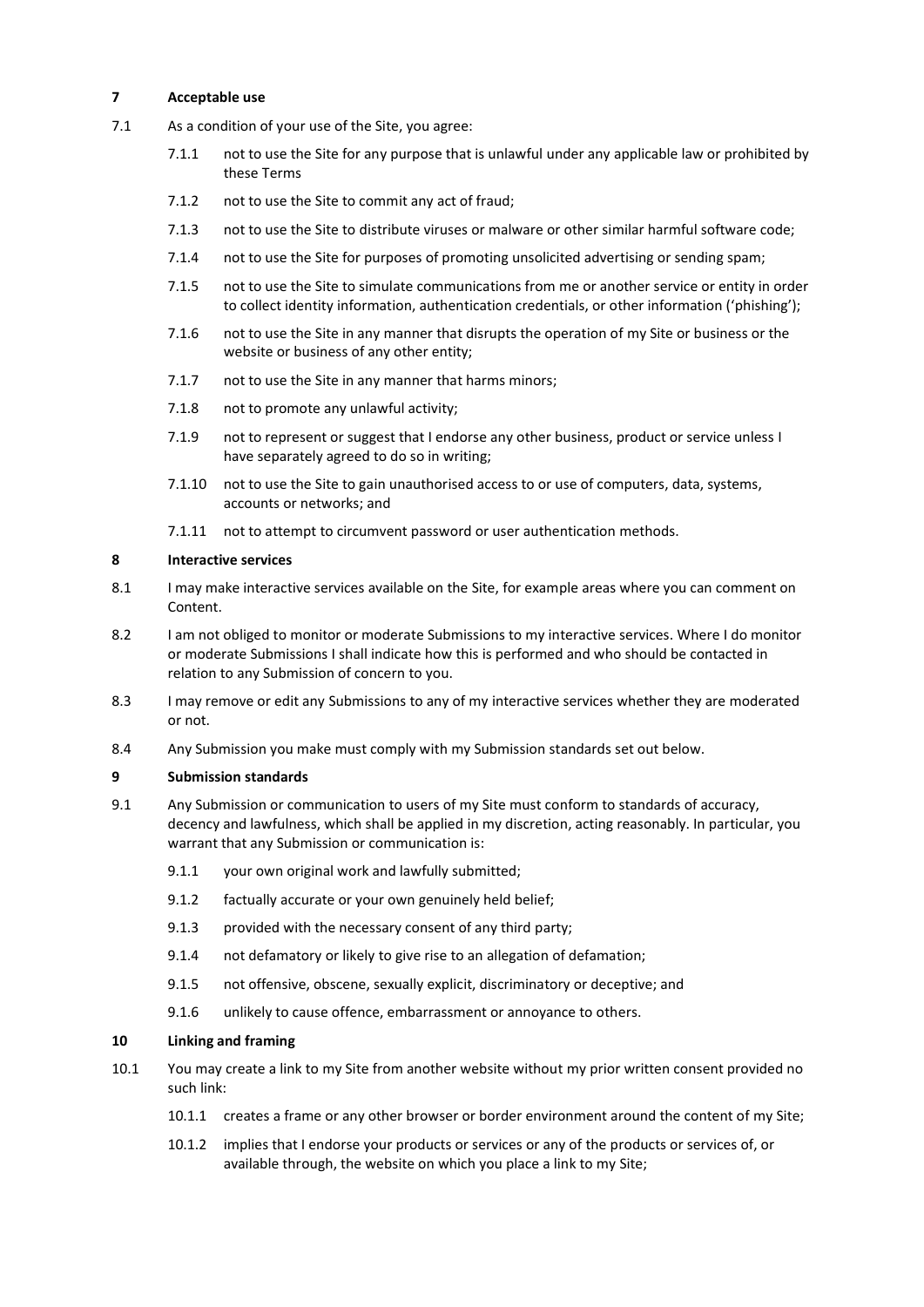## **7 Acceptable use**

- 7.1 As a condition of your use of the Site, you agree:
	- 7.1.1 not to use the Site for any purpose that is unlawful under any applicable law or prohibited by these Terms
	- 7.1.2 not to use the Site to commit any act of fraud;
	- 7.1.3 not to use the Site to distribute viruses or malware or other similar harmful software code;
	- 7.1.4 not to use the Site for purposes of promoting unsolicited advertising or sending spam;
	- 7.1.5 not to use the Site to simulate communications from me or another service or entity in order to collect identity information, authentication credentials, or other information ('phishing');
	- 7.1.6 not to use the Site in any manner that disrupts the operation of my Site or business or the website or business of any other entity;
	- 7.1.7 not to use the Site in any manner that harms minors;
	- 7.1.8 not to promote any unlawful activity;
	- 7.1.9 not to represent or suggest that I endorse any other business, product or service unless I have separately agreed to do so in writing;
	- 7.1.10 not to use the Site to gain unauthorised access to or use of computers, data, systems, accounts or networks; and
	- 7.1.11 not to attempt to circumvent password or user authentication methods.

#### **8 Interactive services**

- 8.1 I may make interactive services available on the Site, for example areas where you can comment on Content.
- 8.2 I am not obliged to monitor or moderate Submissions to my interactive services. Where I do monitor or moderate Submissions I shall indicate how this is performed and who should be contacted in relation to any Submission of concern to you.
- 8.3 I may remove or edit any Submissions to any of my interactive services whether they are moderated or not.
- 8.4 Any Submission you make must comply with my Submission standards set out below.

### **9 Submission standards**

- 9.1 Any Submission or communication to users of my Site must conform to standards of accuracy, decency and lawfulness, which shall be applied in my discretion, acting reasonably. In particular, you warrant that any Submission or communication is:
	- 9.1.1 your own original work and lawfully submitted;
	- 9.1.2 factually accurate or your own genuinely held belief;
	- 9.1.3 provided with the necessary consent of any third party;
	- 9.1.4 not defamatory or likely to give rise to an allegation of defamation;
	- 9.1.5 not offensive, obscene, sexually explicit, discriminatory or deceptive; and
	- 9.1.6 unlikely to cause offence, embarrassment or annoyance to others.

### **10 Linking and framing**

- 10.1 You may create a link to my Site from another website without my prior written consent provided no such link:
	- 10.1.1 creates a frame or any other browser or border environment around the content of my Site;
	- 10.1.2 implies that I endorse your products or services or any of the products or services of, or available through, the website on which you place a link to my Site;